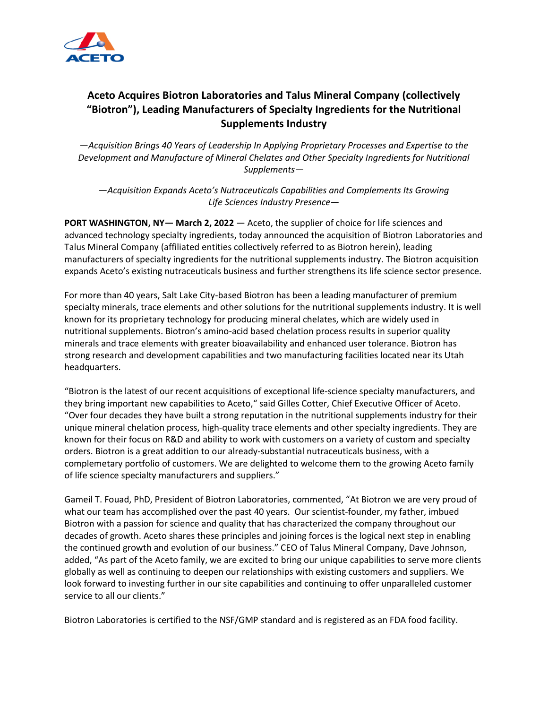

## **Aceto Acquires Biotron Laboratories and Talus Mineral Company (collectively "Biotron"), Leading Manufacturers of Specialty Ingredients for the Nutritional Supplements Industry**

*—Acquisition Brings 40 Years of Leadership In Applying Proprietary Processes and Expertise to the Development and Manufacture of Mineral Chelates and Other Specialty Ingredients for Nutritional Supplements—*

*—Acquisition Expands Aceto's Nutraceuticals Capabilities and Complements Its Growing Life Sciences Industry Presence—*

**PORT WASHINGTON, NY— March 2, 2022** — Aceto, the supplier of choice for life sciences and advanced technology specialty ingredients, today announced the acquisition of Biotron Laboratories and Talus Mineral Company (affiliated entities collectively referred to as Biotron herein), leading manufacturers of specialty ingredients for the nutritional supplements industry. The Biotron acquisition expands Aceto's existing nutraceuticals business and further strengthens its life science sector presence.

For more than 40 years, Salt Lake City-based Biotron has been a leading manufacturer of premium specialty minerals, trace elements and other solutions for the nutritional supplements industry. It is well known for its proprietary technology for producing mineral chelates, which are widely used in nutritional supplements. Biotron's amino-acid based chelation process results in superior quality minerals and trace elements with greater bioavailability and enhanced user tolerance. Biotron has strong research and development capabilities and two manufacturing facilities located near its Utah headquarters.

"Biotron is the latest of our recent acquisitions of exceptional life-science specialty manufacturers, and they bring important new capabilities to Aceto," said Gilles Cotter, Chief Executive Officer of Aceto. "Over four decades they have built a strong reputation in the nutritional supplements industry for their unique mineral chelation process, high-quality trace elements and other specialty ingredients. They are known for their focus on R&D and ability to work with customers on a variety of custom and specialty orders. Biotron is a great addition to our already-substantial nutraceuticals business, with a complemetary portfolio of customers. We are delighted to welcome them to the growing Aceto family of life science specialty manufacturers and suppliers."

Gameil T. Fouad, PhD, President of Biotron Laboratories, commented, "At Biotron we are very proud of what our team has accomplished over the past 40 years. Our scientist-founder, my father, imbued Biotron with a passion for science and quality that has characterized the company throughout our decades of growth. Aceto shares these principles and joining forces is the logical next step in enabling the continued growth and evolution of our business." CEO of Talus Mineral Company, Dave Johnson, added, "As part of the Aceto family, we are excited to bring our unique capabilities to serve more clients globally as well as continuing to deepen our relationships with existing customers and suppliers. We look forward to investing further in our site capabilities and continuing to offer unparalleled customer service to all our clients."

Biotron Laboratories is certified to the NSF/GMP standard and is registered as an FDA food facility.